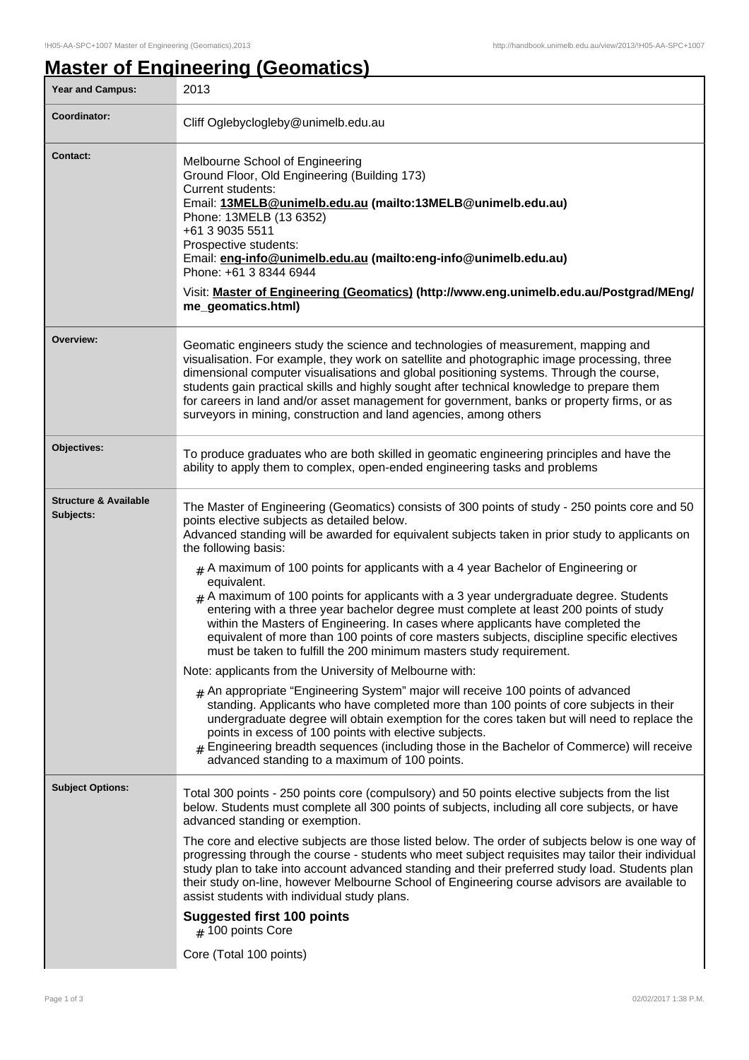# **Master of Engineering (Geomatics)**

| <b>Year and Campus:</b>                       | 2013                                                                                                                                                                                                                                                                                                                                                                                                                                                                                                                                                               |
|-----------------------------------------------|--------------------------------------------------------------------------------------------------------------------------------------------------------------------------------------------------------------------------------------------------------------------------------------------------------------------------------------------------------------------------------------------------------------------------------------------------------------------------------------------------------------------------------------------------------------------|
| Coordinator:                                  | Cliff Oglebyclogleby@unimelb.edu.au                                                                                                                                                                                                                                                                                                                                                                                                                                                                                                                                |
| <b>Contact:</b>                               | Melbourne School of Engineering<br>Ground Floor, Old Engineering (Building 173)<br>Current students:<br>Email: 13MELB@unimelb.edu.au (mailto:13MELB@unimelb.edu.au)<br>Phone: 13MELB (13 6352)<br>+61 3 9035 5511<br>Prospective students:<br>Email: eng-info@unimelb.edu.au (mailto:eng-info@unimelb.edu.au)<br>Phone: +61 3 8344 6944<br>Visit: Master of Engineering (Geomatics) (http://www.eng.unimelb.edu.au/Postgrad/MEng/<br>me_geomatics.html)                                                                                                            |
| Overview:                                     | Geomatic engineers study the science and technologies of measurement, mapping and<br>visualisation. For example, they work on satellite and photographic image processing, three<br>dimensional computer visualisations and global positioning systems. Through the course,<br>students gain practical skills and highly sought after technical knowledge to prepare them<br>for careers in land and/or asset management for government, banks or property firms, or as<br>surveyors in mining, construction and land agencies, among others                       |
| Objectives:                                   | To produce graduates who are both skilled in geomatic engineering principles and have the<br>ability to apply them to complex, open-ended engineering tasks and problems                                                                                                                                                                                                                                                                                                                                                                                           |
| <b>Structure &amp; Available</b><br>Subjects: | The Master of Engineering (Geomatics) consists of 300 points of study - 250 points core and 50<br>points elective subjects as detailed below.<br>Advanced standing will be awarded for equivalent subjects taken in prior study to applicants on<br>the following basis:<br>$#$ A maximum of 100 points for applicants with a 4 year Bachelor of Engineering or<br>equivalent.<br>$#$ A maximum of 100 points for applicants with a 3 year undergraduate degree. Students<br>entering with a three year bachelor degree must complete at least 200 points of study |
|                                               | within the Masters of Engineering. In cases where applicants have completed the<br>equivalent of more than 100 points of core masters subjects, discipline specific electives<br>must be taken to fulfill the 200 minimum masters study requirement.                                                                                                                                                                                                                                                                                                               |
|                                               | Note: applicants from the University of Melbourne with:<br>$_{\#}$ An appropriate "Engineering System" major will receive 100 points of advanced<br>standing. Applicants who have completed more than 100 points of core subjects in their<br>undergraduate degree will obtain exemption for the cores taken but will need to replace the<br>points in excess of 100 points with elective subjects.<br># Engineering breadth sequences (including those in the Bachelor of Commerce) will receive<br>advanced standing to a maximum of 100 points.                 |
| <b>Subject Options:</b>                       | Total 300 points - 250 points core (compulsory) and 50 points elective subjects from the list<br>below. Students must complete all 300 points of subjects, including all core subjects, or have<br>advanced standing or exemption.                                                                                                                                                                                                                                                                                                                                 |
|                                               | The core and elective subjects are those listed below. The order of subjects below is one way of<br>progressing through the course - students who meet subject requisites may tailor their individual<br>study plan to take into account advanced standing and their preferred study load. Students plan<br>their study on-line, however Melbourne School of Engineering course advisors are available to<br>assist students with individual study plans.                                                                                                          |
|                                               | <b>Suggested first 100 points</b><br>$#$ 100 points Core                                                                                                                                                                                                                                                                                                                                                                                                                                                                                                           |
|                                               | Core (Total 100 points)                                                                                                                                                                                                                                                                                                                                                                                                                                                                                                                                            |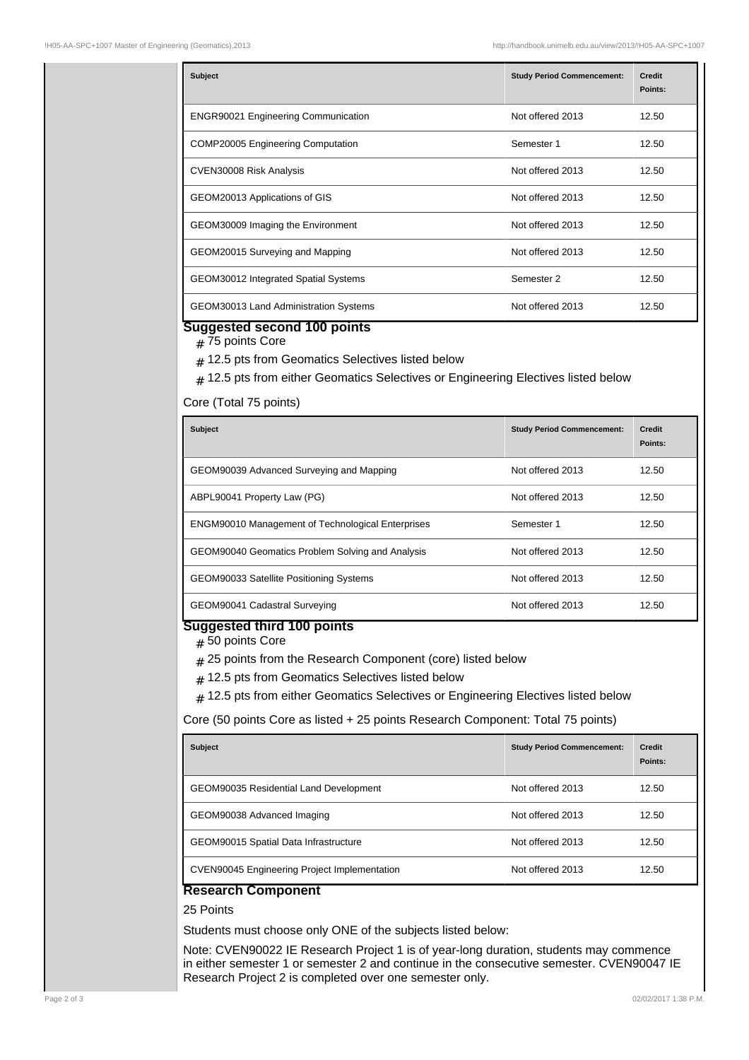| <b>Subject</b>                             | <b>Study Period Commencement:</b> | <b>Credit</b><br>Points: |
|--------------------------------------------|-----------------------------------|--------------------------|
| <b>ENGR90021 Engineering Communication</b> | Not offered 2013                  | 12.50                    |
| <b>COMP20005 Engineering Computation</b>   | Semester 1                        | 12.50                    |
| CVEN30008 Risk Analysis                    | Not offered 2013                  | 12.50                    |
| GEOM20013 Applications of GIS              | Not offered 2013                  | 12.50                    |
| GEOM30009 Imaging the Environment          | Not offered 2013                  | 12.50                    |
| GEOM20015 Surveying and Mapping            | Not offered 2013                  | 12.50                    |
| GEOM30012 Integrated Spatial Systems       | Semester 2                        | 12.50                    |
| GEOM30013 Land Administration Systems      | Not offered 2013                  | 12.50                    |

### **Suggested second 100 points**

# 75 points Core

- $_{\rm \#}$  12.5 pts from Geomatics Selectives listed below
- $_{{\rm \#}}$  12.5 pts from either Geomatics Selectives or Engineering Electives listed below

#### Core (Total 75 points)

| <b>Subject</b>                                           | <b>Study Period Commencement:</b> | <b>Credit</b><br>Points: |
|----------------------------------------------------------|-----------------------------------|--------------------------|
| GEOM90039 Advanced Surveying and Mapping                 | Not offered 2013                  | 12.50                    |
| ABPL90041 Property Law (PG)                              | Not offered 2013                  | 12.50                    |
| <b>ENGM90010 Management of Technological Enterprises</b> | Semester 1                        | 12.50                    |
| GEOM90040 Geomatics Problem Solving and Analysis         | Not offered 2013                  | 12.50                    |
| GEOM90033 Satellite Positioning Systems                  | Not offered 2013                  | 12.50                    |
| GEOM90041 Cadastral Surveying                            | Not offered 2013                  | 12.50                    |

## **Suggested third 100 points**

# 50 points Core

- $_{\rm \#}$  25 points from the Research Component (core) listed below
- $_{\rm \#}$  12.5 pts from Geomatics Selectives listed below
- $*$  12.5 pts from either Geomatics Selectives or Engineering Electives listed below

Core (50 points Core as listed + 25 points Research Component: Total 75 points)

| <b>Subject</b>                                      | <b>Study Period Commencement:</b> | <b>Credit</b><br>Points: |
|-----------------------------------------------------|-----------------------------------|--------------------------|
| <b>GEOM90035 Residential Land Development</b>       | Not offered 2013                  | 12.50                    |
| GEOM90038 Advanced Imaging                          | Not offered 2013                  | 12.50                    |
| GEOM90015 Spatial Data Infrastructure               | Not offered 2013                  | 12.50                    |
| <b>CVEN90045 Engineering Project Implementation</b> | Not offered 2013                  | 12.50                    |

## **Research Component**

25 Points

Students must choose only ONE of the subjects listed below:

Note: CVEN90022 IE Research Project 1 is of year-long duration, students may commence in either semester 1 or semester 2 and continue in the consecutive semester. CVEN90047 IE Research Project 2 is completed over one semester only.